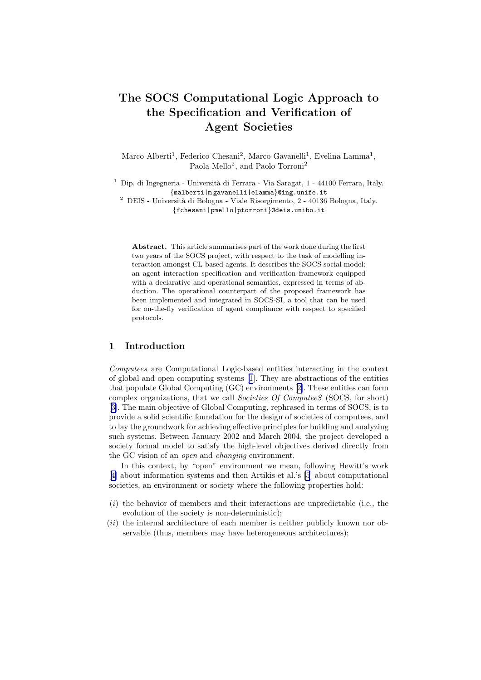# The SOCS Computational Logic Approach to the Specification and Verification of Agent Societies

Marco Alberti<sup>1</sup>, Federico Chesani<sup>2</sup>, Marco Gavanelli<sup>1</sup>, Evelina Lamma<sup>1</sup>, Paola Mello<sup>2</sup>, and Paolo Torroni<sup>2</sup>

Dip. di Ingegneria - Università di Ferrara - Via Saragat, 1 - 44100 Ferrara, Italy. {malberti|m gavanelli|elamma}@ing.unife.it

 $^{\rm 2}$  DEIS - Università di Bologna - Viale Risorgimento, 2 - 40136 Bologna, Italy. {fchesani|pmello|ptorroni}@deis.unibo.it

Abstract. This article summarises part of the work done during the first two years of the SOCS project, with respect to the task of modelling interaction amongst CL-based agents. It describes the SOCS social model: an agent interaction specification and verification framework equipped with a declarative and operational semantics, expressed in terms of abduction. The operational counterpart of the proposed framework has been implemented and integrated in SOCS-SI, a tool that can be used for on-the-fly verification of agent compliance with respect to specified protocols.

## 1 Introduction

Computees are Computational Logic-based entities interacting in the context of global and open computing systems [\[1](#page-22-0)]. They are abstractions of the entities that populate Global Computing (GC) environments [[2\]](#page-22-0). These entities can form complex organizations, that we call Societies Of ComputeeS (SOCS, for short) [[3\]](#page-22-0). The main objective of Global Computing, rephrased in terms of SOCS, is to provide a solid scientific foundation for the design of societies of computees, and to lay the groundwork for achieving effective principles for building and analyzing such systems. Between January 2002 and March 2004, the project developed a society formal model to satisfy the high-level objectives derived directly from the GC vision of an open and changing environment.

In this context, by "open" environment we mean, following Hewitt's work [[4\]](#page-22-0) about information systems and then Artikis et al.'s [\[5](#page-22-0)] about computational societies, an environment or society where the following properties hold:

- (i) the behavior of members and their interactions are unpredictable (i.e., the evolution of the society is non-deterministic);
- $(ii)$  the internal architecture of each member is neither publicly known nor observable (thus, members may have heterogeneous architectures);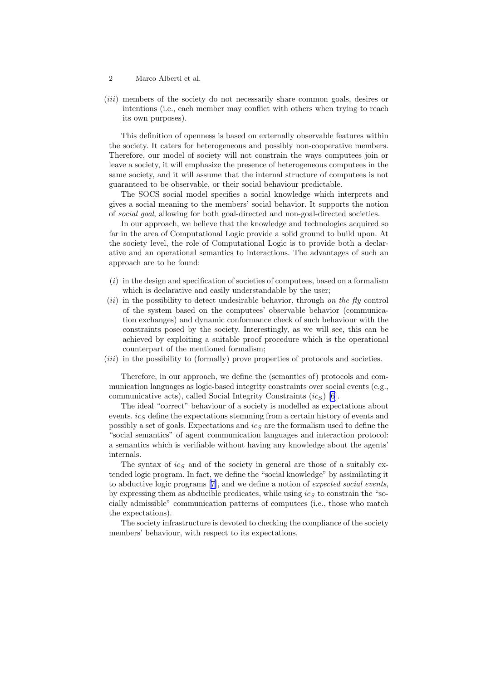- 2 Marco Alberti et al.
- (iii) members of the society do not necessarily share common goals, desires or intentions (i.e., each member may conflict with others when trying to reach its own purposes).

This definition of openness is based on externally observable features within the society. It caters for heterogeneous and possibly non-cooperative members. Therefore, our model of society will not constrain the ways computees join or leave a society, it will emphasize the presence of heterogeneous computees in the same society, and it will assume that the internal structure of computees is not guaranteed to be observable, or their social behaviour predictable.

The SOCS social model specifies a social knowledge which interprets and gives a social meaning to the members' social behavior. It supports the notion of social goal, allowing for both goal-directed and non-goal-directed societies.

In our approach, we believe that the knowledge and technologies acquired so far in the area of Computational Logic provide a solid ground to build upon. At the society level, the role of Computational Logic is to provide both a declarative and an operational semantics to interactions. The advantages of such an approach are to be found:

- $(i)$  in the design and specification of societies of computees, based on a formalism which is declarative and easily understandable by the user;
- $(ii)$  in the possibility to detect undesirable behavior, through on the fly control of the system based on the computees' observable behavior (communication exchanges) and dynamic conformance check of such behaviour with the constraints posed by the society. Interestingly, as we will see, this can be achieved by exploiting a suitable proof procedure which is the operational counterpart of the mentioned formalism;
- (iii) in the possibility to (formally) prove properties of protocols and societies.

Therefore, in our approach, we define the (semantics of) protocols and communication languages as logic-based integrity constraints over social events (e.g., communicative acts), called Social Integrity Constraints  $(ic_S)$  [\[6](#page-22-0)].

The ideal "correct" behaviour of a society is modelled as expectations about events.  $ic_S$  define the expectations stemming from a certain history of events and possibly a set of goals. Expectations and  $ic_S$  are the formalism used to define the "social semantics" of agent communication languages and interaction protocol: a semantics which is verifiable without having any knowledge about the agents' internals.

The syntax of  $ic<sub>S</sub>$  and of the society in general are those of a suitably extended logic program. In fact, we define the "social knowledge" by assimilating it to abductive logic programs [\[7\]](#page-23-0), and we define a notion of expected social events, by expressing them as abducible predicates, while using  $ic<sub>S</sub>$  to constrain the "socially admissible" communication patterns of computees (i.e., those who match the expectations).

The society infrastructure is devoted to checking the compliance of the society members' behaviour, with respect to its expectations.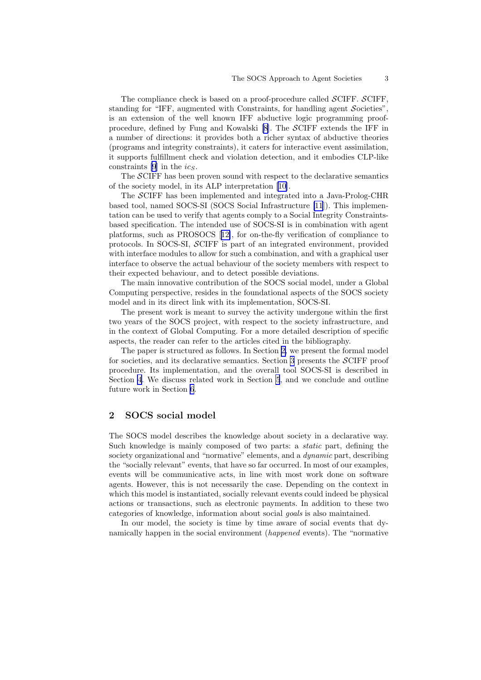<span id="page-2-0"></span>The compliance check is based on a proof-procedure called SCIFF. SCIFF, standing for "IFF, augmented with Constraints, for handling agent Societies", is an extension of the well known IFF abductive logic programming proofprocedure, defined by Fung and Kowalski [\[8](#page-23-0)]. The SCIFF extends the IFF in a number of directions: it provides both a richer syntax of abductive theories (programs and integrity constraints), it caters for interactive event assimilation, it supports fulfillment check and violation detection, and it embodies CLP-like constraints [\[9](#page-23-0)] in the  $ic<sub>S</sub>$ .

The SCIFF has been proven sound with respect to the declarative semantics of the society model, in its ALP interpretation [\[10](#page-23-0)].

The SCIFF has been implemented and integrated into a Java-Prolog-CHR based tool, named SOCS-SI (SOCS Social Infrastructure [\[11](#page-23-0)]). This implementation can be used to verify that agents comply to a Social Integrity Constraintsbased specification. The intended use of SOCS-SI is in combination with agent platforms, such as PROSOCS [[12\]](#page-23-0), for on-the-fly verification of compliance to protocols. In SOCS-SI, SCIFF is part of an integrated environment, provided with interface modules to allow for such a combination, and with a graphical user interface to observe the actual behaviour of the society members with respect to their expected behaviour, and to detect possible deviations.

The main innovative contribution of the SOCS social model, under a Global Computing perspective, resides in the foundational aspects of the SOCS society model and in its direct link with its implementation, SOCS-SI.

The present work is meant to survey the activity undergone within the first two years of the SOCS project, with respect to the society infrastructure, and in the context of Global Computing. For a more detailed description of specific aspects, the reader can refer to the articles cited in the bibliography.

The paper is structured as follows. In Section 2, we present the formal model for societies, and its declarative semantics. Section [3](#page-9-0) presents the SCIFF proof procedure. Its implementation, and the overall tool SOCS-SI is described in Section [4](#page-14-0). We discuss related work in Section [5](#page-17-0), and we conclude and outline future work in Section [6](#page-20-0).

# 2 SOCS social model

The SOCS model describes the knowledge about society in a declarative way. Such knowledge is mainly composed of two parts: a static part, defining the society organizational and "normative" elements, and a *dynamic* part, describing the "socially relevant" events, that have so far occurred. In most of our examples, events will be communicative acts, in line with most work done on software agents. However, this is not necessarily the case. Depending on the context in which this model is instantiated, socially relevant events could indeed be physical actions or transactions, such as electronic payments. In addition to these two categories of knowledge, information about social goals is also maintained.

In our model, the society is time by time aware of social events that dynamically happen in the social environment (happened events). The "normative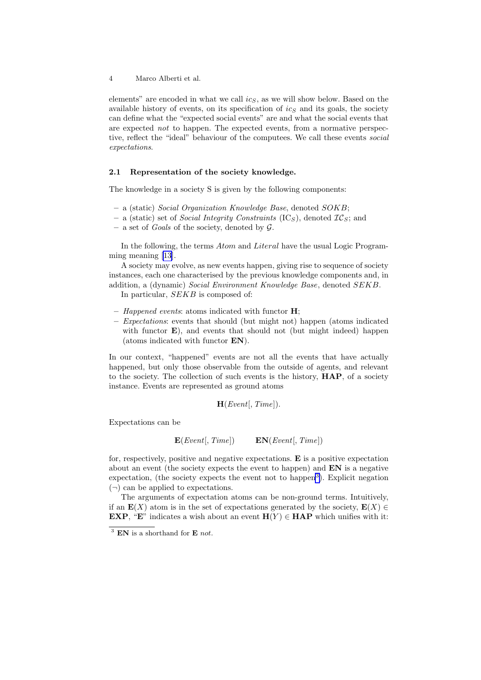elements" are encoded in what we call  $ic<sub>S</sub>$ , as we will show below. Based on the available history of events, on its specification of  $ic<sub>S</sub>$  and its goals, the society can define what the "expected social events" are and what the social events that are expected not to happen. The expected events, from a normative perspective, reflect the "ideal" behaviour of the computees. We call these events *social* expectations.

### 2.1 Representation of the society knowledge.

The knowledge in a society S is given by the following components:

- a (static) Social Organization Knowledge Base, denoted SOKB;
- a (static) set of *Social Integrity Constraints* (IC<sub>S</sub>), denoted  $\mathcal{IC}_S$ ; and
- a set of Goals of the society, denoted by  $\mathcal{G}$ .

In the following, the terms Atom and Literal have the usual Logic Programming meaning [\[13](#page-23-0)].

A society may evolve, as new events happen, giving rise to sequence of society instances, each one characterised by the previous knowledge components and, in addition, a (dynamic) Social Environment Knowledge Base, denoted SEKB.

In particular, SEKB is composed of:

- Happened events: atoms indicated with functor  $H$ ;
- Expectations: events that should (but might not) happen (atoms indicated with functor  $E$ ), and events that should not (but might indeed) happen (atoms indicated with functor EN).

In our context, "happened" events are not all the events that have actually happened, but only those observable from the outside of agents, and relevant to the society. The collection of such events is the history, HAP, of a society instance. Events are represented as ground atoms

$$
\mathbf{H}(Event[, Time]).
$$

Expectations can be

$$
\mathbf{E}(Event[, Time]) \qquad \mathbf{EN}(Event[, Time])
$$

for, respectively, positive and negative expectations. E is a positive expectation about an event (the society expects the event to happen) and  $EN$  is a negative expectation, (the society expects the event not to happen<sup>3</sup>). Explicit negation  $(\neg)$  can be applied to expectations.

The arguments of expectation atoms can be non-ground terms. Intuitively, if an  $\mathbf{E}(X)$  atom is in the set of expectations generated by the society,  $\mathbf{E}(X) \in$ EXP, "E" indicates a wish about an event  $H(Y) \in HAP$  which unifies with it:

<sup>&</sup>lt;sup>3</sup> EN is a shorthand for E *not*.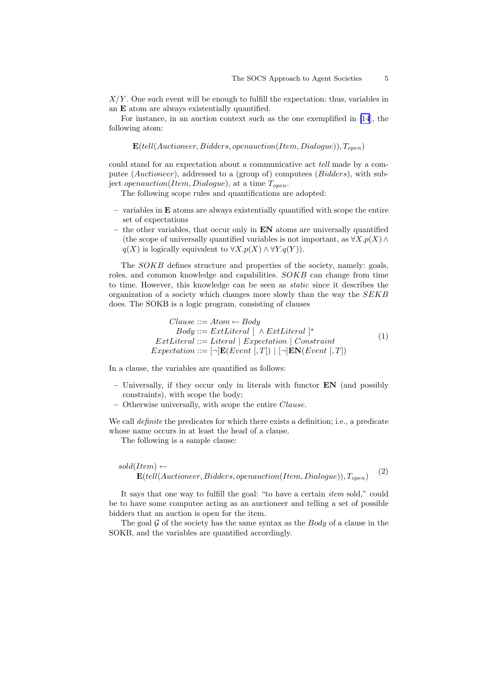<span id="page-4-0"></span> $X/Y$ . One such event will be enough to fulfill the expectation: thus, variables in an E atom are always existentially quantified.

For instance, in an auction context such as the one exemplified in [\[14](#page-23-0)], the following atom:

 $\mathbf{E}(tell(Auctioneer, Bidders, openauction(Item, Dialogue)), T_{open})$ 

could stand for an expectation about a communicative act tell made by a computee (Auctioneer), addressed to a (group of) computees (Bidders), with subject *openauction*(*Item, Dialogue*), at a time  $T_{open}$ .

The following scope rules and quantifications are adopted:

- $-$  variables in  $\bf{E}$  atoms are always existentially quantified with scope the entire set of expectations
- $-$  the other variables, that occur only in  $EN$  atoms are universally quantified (the scope of universally quantified variables is not important, as  $\forall X. p(X) \land$  $q(X)$  is logically equivalent to  $\forall X. p(X) \land \forall Y. q(Y)$ .

The SOKB defines structure and properties of the society, namely: goals, roles, and common knowledge and capabilities.  $SOKB$  can change from time to time. However, this knowledge can be seen as static since it describes the organization of a society which changes more slowly than the way the SEKB does. The SOKB is a logic program, consisting of clauses

$$
Clause ::= Atom \leftarrow Body
$$
  
\n
$$
Body ::= ExtLiteral \ [\ \land ExtLiteral \ ]^*
$$
  
\n
$$
ExtLiteral ::= Literal \ | \ Expectation \ | \ Constant
$$
  
\n
$$
Expectation ::= [\neg] \mathbf{E}(Event \ [, T]) \ | \ [\neg] \mathbf{EN}(Event \ [, T])
$$
\n(1)

In a clause, the variables are quantified as follows:

- $-$  Universally, if they occur only in literals with functor  $EN$  (and possibly constraints), with scope the body;
- Otherwise universally, with scope the entire Clause.

We call *definite* the predicates for which there exists a definition; i.e., a predicate whose name occurs in at least the head of a clause.

The following is a sample clause:

 $sold(Item) \leftarrow$ 

 $\mathbf{E}(tell(Auctioneer, Bidders, open auction(Item, Dialogue)), T_{open})$ (2)

It says that one way to fulfill the goal: "to have a certain item sold," could be to have some computee acting as an auctioneer and telling a set of possible bidders that an auction is open for the item.

The goal  $\mathcal G$  of the society has the same syntax as the  $Body$  of a clause in the SOKB, and the variables are quantified accordingly.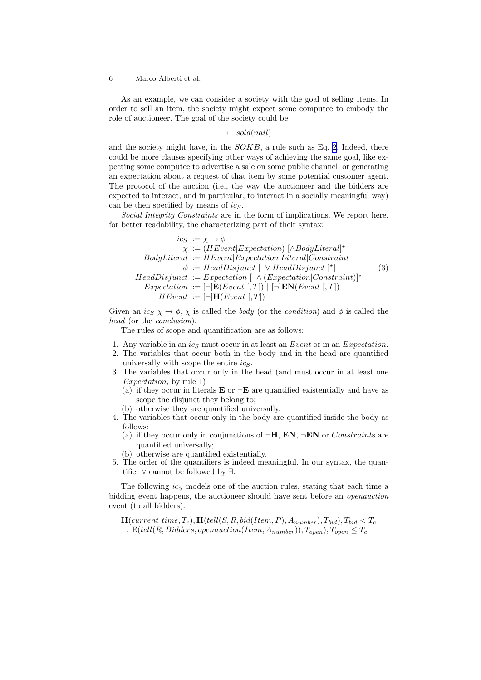As an example, we can consider a society with the goal of selling items. In order to sell an item, the society might expect some computee to embody the role of auctioneer. The goal of the society could be

 $\leftarrow sold(nail)$ 

and the society might have, in the  $SOKB$ , a rule such as Eq. [2](#page-4-0). Indeed, there could be more clauses specifying other ways of achieving the same goal, like expecting some computee to advertise a sale on some public channel, or generating an expectation about a request of that item by some potential customer agent. The protocol of the auction (i.e., the way the auctioneer and the bidders are expected to interact, and in particular, to interact in a socially meaningful way) can be then specified by means of  $ic_S$ .

Social Integrity Constraints are in the form of implications. We report here, for better readability, the characterizing part of their syntax:

$$
ic_S ::= \chi \rightarrow \phi
$$
  
\n
$$
\chi ::= (HEvent | Expectation) [\land BodyLiteral]^\star
$$
  
\n
$$
BodyLiteral ::= HEvent | Expectation | Literal |Constraint
$$
  
\n
$$
\phi ::= HeadDisjunct [\lor HeadDisjunct]^\star | \bot
$$
  
\n
$$
HeadDisjunct ::= Expectation [\land (Expectation |Constraint)]^\star
$$
  
\n
$$
Expectation ::= [\neg] \mathbf{E} (Event [, T]) | [\neg] \mathbf{EN} (Event [, T])
$$
  
\n
$$
HEvent ::= [\neg] \mathbf{H} (Event [, T])
$$

Given an  $ic_S \chi \to \phi$ ,  $\chi$  is called the *body* (or the *condition*) and  $\phi$  is called the head (or the *conclusion*).

The rules of scope and quantification are as follows:

- 1. Any variable in an  $ic_S$  must occur in at least an Event or in an Expectation.
- 2. The variables that occur both in the body and in the head are quantified universally with scope the entire  $ic_S$ .
- 3. The variables that occur only in the head (and must occur in at least one Expectation, by rule 1)
	- (a) if they occur in literals  $\mathbf E$  or  $\neg \mathbf E$  are quantified existentially and have as scope the disjunct they belong to;
	- (b) otherwise they are quantified universally.
- 4. The variables that occur only in the body are quantified inside the body as follows:
	- (a) if they occur only in conjunctions of  $\neg H$ , **EN**,  $\neg EN$  or *Constraints* are quantified universally;
	- (b) otherwise are quantified existentially.
- 5. The order of the quantifiers is indeed meaningful. In our syntax, the quantifier ∀ cannot be followed by ∃.

The following  $ic<sub>S</sub>$  models one of the auction rules, stating that each time a bidding event happens, the auctioneer should have sent before an openauction event (to all bidders).

 $\mathbf{H}(current\_time, T_c), \mathbf{H}(tell(S, R, bid(Item, P), A_{number}), T_{bid}), T_{bid} < T_c$  $\rightarrow$  **E**(tell(R, Bidders, openauction(Item,  $A_{number}$ )),  $T_{open}$ ),  $T_{open} \leq T_c$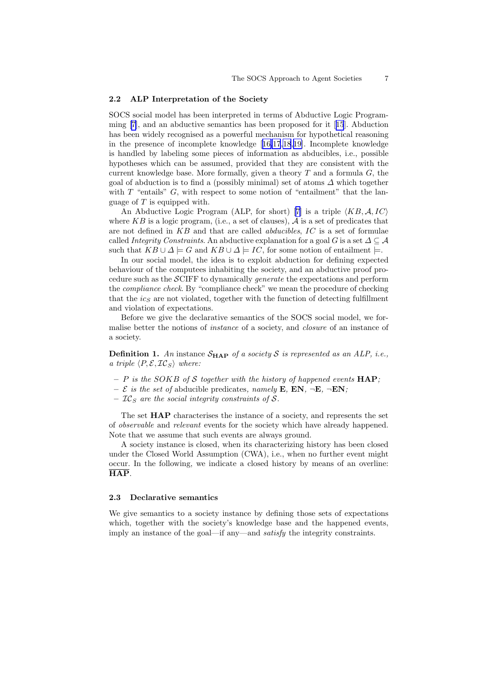#### 2.2 ALP Interpretation of the Society

SOCS social model has been interpreted in terms of Abductive Logic Programming [[7\]](#page-23-0), and an abductive semantics has been proposed for it [[15](#page-23-0)]. Abduction has been widely recognised as a powerful mechanism for hypothetical reasoning in the presence of incomplete knowledge [[16,17,18](#page-23-0),[19\]](#page-23-0). Incomplete knowledge is handled by labeling some pieces of information as abducibles, i.e., possible hypotheses which can be assumed, provided that they are consistent with the current knowledge base. More formally, given a theory  $T$  and a formula  $G$ , the goal of abduction is to find a (possibly minimal) set of atoms  $\Delta$  which together with  $T$  "entails"  $G$ , with respect to some notion of "entailment" that the language of  $T$  is equipped with.

An Abductive Logic Program (ALP, for short) [[7\]](#page-23-0) is a triple  $\langle KB, \mathcal{A}, IC \rangle$ where  $KB$  is a logic program, (i.e., a set of clauses),  $A$  is a set of predicates that are not defined in KB and that are called abducibles, IC is a set of formulae called Integrity Constraints. An abductive explanation for a goal G is a set  $\Delta \subseteq \mathcal{A}$ such that  $KB \cup \Delta \models G$  and  $KB \cup \Delta \models IC$ , for some notion of entailment  $\models$ .

In our social model, the idea is to exploit abduction for defining expected behaviour of the computees inhabiting the society, and an abductive proof procedure such as the SCIFF to dynamically generate the expectations and perform the compliance check. By "compliance check" we mean the procedure of checking that the  $ic<sub>S</sub>$  are not violated, together with the function of detecting fulfillment and violation of expectations.

Before we give the declarative semantics of the SOCS social model, we formalise better the notions of *instance* of a society, and *closure* of an instance of a society.

**Definition 1.** An instance  $\mathcal{S}_{\text{HAP}}$  of a society S is represented as an ALP, i.e., a triple  $\langle P, \mathcal{E}, \mathcal{IC}_S \rangle$  where:

- $P$  is the SOKB of S together with the history of happened events  $\text{HAP}$ ;
- $-\mathcal{E}$  is the set of abducible predicates, namely **E**, **EN**,  $\neg$ **E**,  $\neg$ **EN**;
- $IC_S$  are the social integrity constraints of S.

The set HAP characterises the instance of a society, and represents the set of observable and relevant events for the society which have already happened. Note that we assume that such events are always ground.

A society instance is closed, when its characterizing history has been closed under the Closed World Assumption (CWA), i.e., when no further event might occur. In the following, we indicate a closed history by means of an overline: HAP.

#### 2.3 Declarative semantics

We give semantics to a society instance by defining those sets of expectations which, together with the society's knowledge base and the happened events, imply an instance of the goal—if any—and *satisfy* the integrity constraints.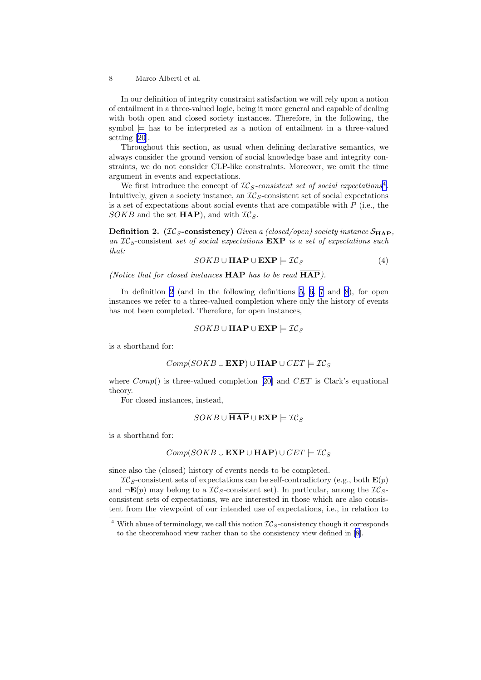<span id="page-7-0"></span>In our definition of integrity constraint satisfaction we will rely upon a notion of entailment in a three-valued logic, being it more general and capable of dealing with both open and closed society instances. Therefore, in the following, the symbol  $\equiv$  has to be interpreted as a notion of entailment in a three-valued setting [\[20](#page-24-0)].

Throughout this section, as usual when defining declarative semantics, we always consider the ground version of social knowledge base and integrity constraints, we do not consider CLP-like constraints. Moreover, we omit the time argument in events and expectations.

We first introduce the concept of  $IC_S$ -consistent set of social expectations<sup>4</sup>. Intuitively, given a society instance, an  $IC_S$ -consistent set of social expectations is a set of expectations about social events that are compatible with  $P$  (i.e., the SOKB and the set  $\text{HAP}$ , and with  $IC_S$ .

**Definition 2.** (*IC<sub>S</sub>*-consistency) Given a (closed/open) society instance  $S_{\text{HAP}}$ , an  $IC_S$ -consistent set of social expectations  $EXP$  is a set of expectations such that:

$$
SOKB \cup \mathbf{HAP} \cup \mathbf{EXP} \models \mathcal{IC}_S \tag{4}
$$

(Notice that for closed instances  $\bf{HAP}$  has to be read  $\bf{\overline{HAP}}$ ).

In definition 2 (and in the following definitions [5](#page-8-0), [6, 7](#page-8-0) and [8](#page-9-0)), for open instances we refer to a three-valued completion where only the history of events has not been completed. Therefore, for open instances,

$$
\mathit{SOKB} \cup \mathbf{HAP} \cup \mathbf{EXP} \models \mathcal{IC}_S
$$

is a shorthand for:

#### $Comp(SOKB \cup EXP) \cup HAP \cup CET \models \mathcal{IC}_S$

where  $Comp()$  is three-valued completion [[20\]](#page-24-0) and CET is Clark's equational theory.

For closed instances, instead,

$$
\mathit{SOKB} \cup \overline{\mathbf{HAP}} \cup \mathbf{EXP} \models \mathcal{IC}_S
$$

is a shorthand for:

$$
Comp(SOKB \cup \textbf{EXP} \cup \textbf{HAP}) \cup CET \models \mathcal{IC}_S
$$

since also the (closed) history of events needs to be completed.

 $IC<sub>S</sub>$ -consistent sets of expectations can be self-contradictory (e.g., both  $\mathbf{E}(p)$ ) and  $\neg E(p)$  may belong to a  $IC_S$ -consistent set). In particular, among the  $IC_S$ consistent sets of expectations, we are interested in those which are also consistent from the viewpoint of our intended use of expectations, i.e., in relation to

<sup>&</sup>lt;sup>4</sup> With abuse of terminology, we call this notion  $IC_S$ -consistency though it corresponds to the theoremhood view rather than to the consistency view defined in [\[8\]](#page-23-0).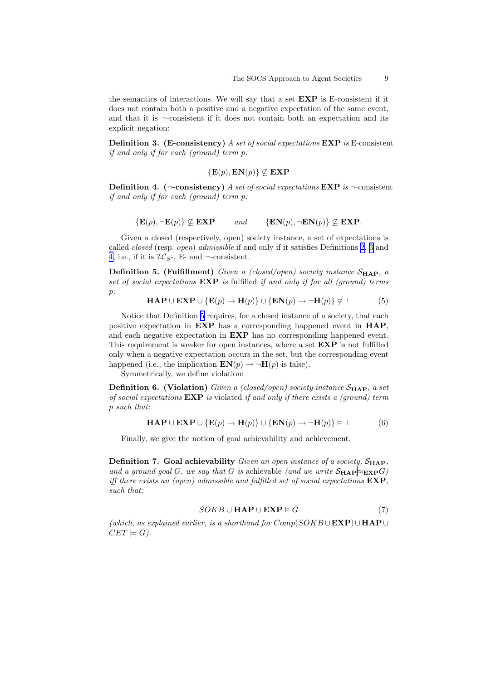<span id="page-8-0"></span>the semantics of interactions. We will say that a set EXP is E-consistent if it does not contain both a positive and a negative expectation of the same event, and that it is ¬-consistent if it does not contain both an expectation and its explicit negation:

**Definition 3.** (E-consistency) A set of social expectations  $EXP$  is E-consistent if and only if for each (ground) term p:

$$
\{ \mathbf{E}(p), \mathbf{EN}(p) \} \nsubseteq \mathbf{EXP}
$$

**Definition 4.** ( $\neg$ **-consistency**) A set of social expectations **EXP** is  $\neg$ -consistent if and only if for each (ground) term p:

$$
{\bf \{E}}(p),\neg {\bf E}(p){\bf \} \not\subseteq {\bf EXP} \qquad and \qquad {\bf \{EN}}(p),\neg {\bf EN}(p){\bf \} \not\subseteq {\bf EXP}.
$$

Given a closed (respectively, open) society instance, a set of expectations is called closed (resp. open) admissible if and only if it satisfies Definitions [2,](#page-7-0) 3 and 4, i.e., if it is  $TC_{S}$ -, E- and  $\neg$ -consistent.

Definition 5. (Fulfillment) Given a (closed/open) society instance  $S_{\rm HAP}$ , a set of social expectations  $EXP$  is fulfilled if and only if for all (ground) terms  $p$ :

$$
\mathbf{HAP} \cup \mathbf{EXP} \cup \{\mathbf{E}(p) \to \mathbf{H}(p)\} \cup \{\mathbf{EN}(p) \to \neg \mathbf{H}(p)\} \neq \bot
$$
 (5)

Notice that Definition 5 requires, for a closed instance of a society, that each positive expectation in EXP has a corresponding happened event in HAP, and each negative expectation in EXP has no corresponding happened event. This requirement is weaker for open instances, where a set  $EXP$  is not fulfilled only when a negative expectation occurs in the set, but the corresponding event happened (i.e., the implication  $\mathbf{EN}(p) \to \neg \mathbf{H}(p)$  is false).

Symmetrically, we define violation:

**Definition 6.** (Violation) Given a (closed/open) society instance  $S_{\text{HAP}}$ , a set of social expectations  $\mathbf{EXP}$  is violated if and only if there exists a (ground) term p such that:

$$
\mathbf{HAP} \cup \mathbf{EXP} \cup \{\mathbf{E}(p) \to \mathbf{H}(p)\} \cup \{\mathbf{EN}(p) \to \neg \mathbf{H}(p)\} \models \bot
$$
 (6)

Finally, we give the notion of goal achievability and achievement.

**Definition 7. Goal achievability** Given an open instance of a society,  $S_{\text{HAP}}$ , and a ground goal G, we say that G is achievable (and we write  $\mathcal{S}_{\textbf{HAP}} \approx_{\textbf{EXP}} G$ ) iff there exists an (open) admissible and fulfilled set of social expectations  $EXP$ , such that:

$$
SOKB \cup \mathbf{HAP} \cup \mathbf{EXP} \models G \tag{7}
$$

(which, as explained earlier, is a shorthand for  $Comp(SOKB \cup EXP) \cup HAP \cup$  $CET \models G$ ).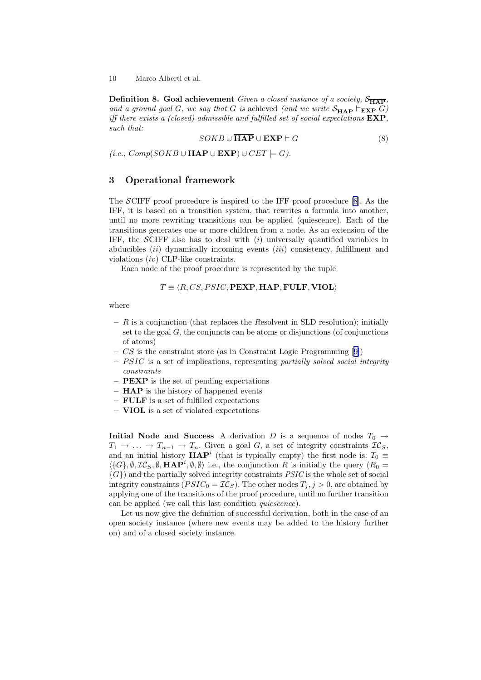<span id="page-9-0"></span>**Definition 8. Goal achievement** Given a closed instance of a society,  $S_{\overline{HAP}}$ , and a ground goal G, we say that G is achieved (and we write  $\mathcal{S}_{\overline{HAP}} \vDash_{\mathbf{EXP}} G$ ) iff there exists a (closed) admissible and fulfilled set of social expectations  $EXP$ , such that:

$$
SOKB \cup \overline{\textbf{HAP}} \cup \textbf{EXP} \models G \tag{8}
$$

 $(i.e., Comp(SOKB \cup \textbf{HAP} \cup \textbf{EXP}) \cup CET \models G).$ 

#### 3 Operational framework

The SCIFF proof procedure is inspired to the IFF proof procedure [\[8](#page-23-0)]. As the IFF, it is based on a transition system, that rewrites a formula into another, until no more rewriting transitions can be applied (quiescence). Each of the transitions generates one or more children from a node. As an extension of the IFF, the  $\mathcal{S}$ CIFF also has to deal with (i) universally quantified variables in abducibles  $(ii)$  dynamically incoming events  $(iii)$  consistency, fulfillment and violations (iv) CLP-like constraints.

Each node of the proof procedure is represented by the tuple

$$
T \equiv \langle R, CS, PSIC, PEXP, HAP, FULER, VIOL \rangle
$$

where

- $R$  is a conjunction (that replaces the Resolvent in SLD resolution); initially set to the goal  $G$ , the conjuncts can be atoms or disjunctions (of conjunctions) of atoms)
- $CS$  is the constraint store (as in Constraint Logic Programming [[9\]](#page-23-0))
- $-$  PSIC is a set of implications, representing partially solved social integrity constraints
- PEXP is the set of pending expectations
- HAP is the history of happened events
- FULF is a set of fulfilled expectations
- VIOL is a set of violated expectations

Initial Node and Success A derivation D is a sequence of nodes  $T_0 \rightarrow$  $T_1 \to \ldots \to T_{n-1} \to T_n$ . Given a goal G, a set of integrity constraints  $IC_S$ , and an initial history  $\mathbf{HAP}^i$  (that is typically empty) the first node is:  $T_0 \equiv$  $\langle \{G\}, \emptyset, \mathcal{IC}_S, \emptyset, \mathbf{HAP}^i, \emptyset, \emptyset \rangle$  i.e., the conjunction R is initially the query  $(R_0 =$  ${G}$ ) and the partially solved integrity constraints *PSIC* is the whole set of social integrity constraints ( $PSIC_0 = \mathcal{IC}_S$ ). The other nodes  $T_j$ ,  $j > 0$ , are obtained by applying one of the transitions of the proof procedure, until no further transition can be applied (we call this last condition quiescence).

Let us now give the definition of successful derivation, both in the case of an open society instance (where new events may be added to the history further on) and of a closed society instance.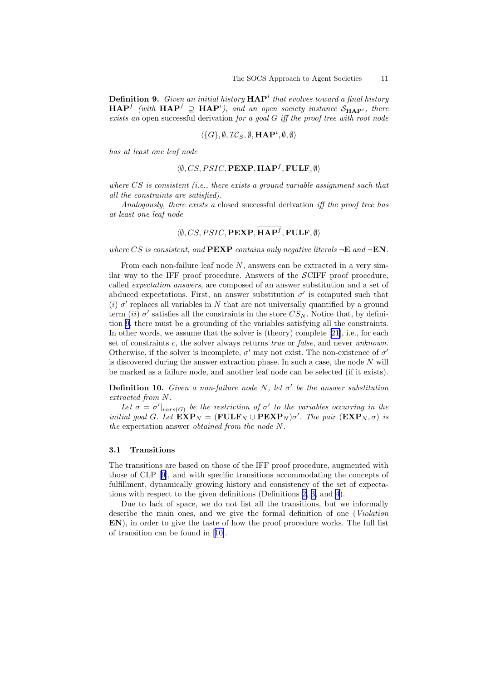**Definition 9.** Given an initial history  $\textbf{HAP}^i$  that evolves toward a final history  $\mathbf{HAP}^f$  (with  $\mathbf{HAP}^f \supseteq \mathbf{HAP}^i$ ), and an open society instance  $\mathcal{S}_{\mathbf{HAP}^i}$ , there exists an open successful derivation for a goal  $G$  iff the proof tree with root node

$$
\langle \{G\}, \emptyset, \mathcal{IC}_S, \emptyset, \mathbf{HAP}^i, \emptyset, \emptyset \rangle
$$

has at least one leaf node

## $\langle \emptyset, CS, PSIC, \textbf{PEXP}, \textbf{HAP}^f, \textbf{FULF}, \emptyset \rangle$

where  $CS$  is consistent (i.e., there exists a ground variable assignment such that all the constraints are satisfied).

Analogously, there exists a closed successful derivation iff the proof tree has at least one leaf node

## $\langle \emptyset, CS, PSIC, \textbf{PEXP}, \textbf{HAP}^f, \textbf{FULF}, \emptyset \rangle$

where CS is consistent, and **PEXP** contains only negative literals  $\neg$ **E** and  $\neg$ **EN**.

From each non-failure leaf node  $N$ , answers can be extracted in a very similar way to the IFF proof procedure. Answers of the SCIFF proof procedure, called expectation answers, are composed of an answer substitution and a set of abduced expectations. First, an answer substitution  $\sigma'$  is computed such that (i)  $\sigma'$  replaces all variables in N that are not universally quantified by a ground term (ii)  $\sigma'$  satisfies all the constraints in the store  $CS_N$ . Notice that, by definition [9](#page-9-0), there must be a grounding of the variables satisfying all the constraints. In other words, we assume that the solver is (theory) complete [[21\]](#page-24-0), i.e., for each set of constraints c, the solver always returns true or false, and never unknown. Otherwise, if the solver is incomplete,  $\sigma'$  may not exist. The non-existence of  $\sigma'$ is discovered during the answer extraction phase. In such a case, the node  $N$  will be marked as a failure node, and another leaf node can be selected (if it exists).

**Definition 10.** Given a non-failure node N, let  $\sigma'$  be the answer substitution extracted from N.

Let  $\sigma = \sigma'|_{vars(G)}$  be the restriction of  $\sigma'$  to the variables occurring in the initial goal G. Let  $\mathbf{EXP}_N = (\mathbf{FULF}_N \cup \mathbf{PERP}_N)\sigma'$ . The pair  $(\mathbf{EXP}_N, \sigma)$  is the expectation answer obtained from the node N.

#### 3.1 Transitions

The transitions are based on those of the IFF proof procedure, augmented with those of CLP [[9\]](#page-23-0), and with specific transitions accommodating the concepts of fulfillment, dynamically growing history and consistency of the set of expectations with respect to the given definitions (Definitions [2,](#page-7-0) [3,](#page-8-0) and [4](#page-8-0)).

Due to lack of space, we do not list all the transitions, but we informally describe the main ones, and we give the formal definition of one (Violation EN), in order to give the taste of how the proof procedure works. The full list of transition can be found in [[10\]](#page-23-0).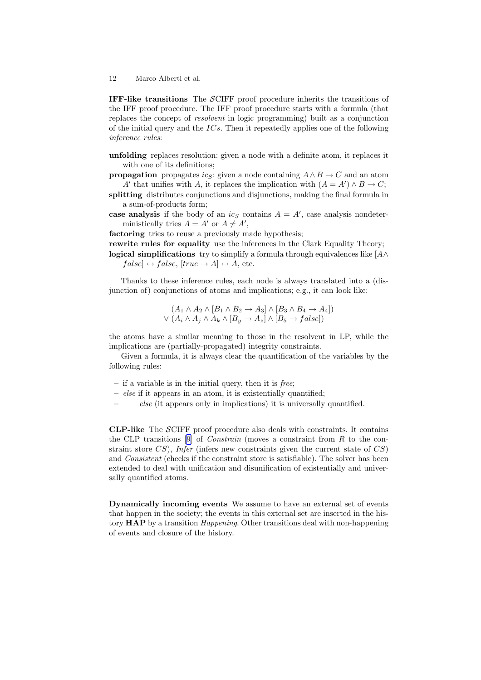IFF-like transitions The SCIFF proof procedure inherits the transitions of the IFF proof procedure. The IFF proof procedure starts with a formula (that replaces the concept of resolvent in logic programming) built as a conjunction of the initial query and the  $ICS$ . Then it repeatedly applies one of the following inference rules:

unfolding replaces resolution: given a node with a definite atom, it replaces it with one of its definitions;

**propagation** propagates  $ic_S$ : given a node containing  $A \wedge B \to C$  and an atom A' that unifies with A, it replaces the implication with  $(A = A') \wedge B \to C$ ;

splitting distributes conjunctions and disjunctions, making the final formula in a sum-of-products form;

case analysis if the body of an  $ic<sub>S</sub>$  contains  $A = A'$ , case analysis nondeterministically tries  $A = A'$  or  $A \neq A'$ ,

factoring tries to reuse a previously made hypothesis;

rewrite rules for equality use the inferences in the Clark Equality Theory; **logical simplifications** try to simplify a formula through equivalences like  $[A \wedge \]$  $false \rightarrow false$ ,  $[true \rightarrow A] \leftrightarrow A$ , etc.

Thanks to these inference rules, each node is always translated into a (disjunction of) conjunctions of atoms and implications; e.g., it can look like:

$$
(A_1 \wedge A_2 \wedge [B_1 \wedge B_2 \rightarrow A_3] \wedge [B_3 \wedge B_4 \rightarrow A_4])
$$
  

$$
\vee (A_i \wedge A_j \wedge A_k \wedge [B_y \rightarrow A_z] \wedge [B_5 \rightarrow false])
$$

the atoms have a similar meaning to those in the resolvent in LP, while the implications are (partially-propagated) integrity constraints.

Given a formula, it is always clear the quantification of the variables by the following rules:

- if a variable is in the initial query, then it is *free*;
- $-$  else if it appears in an atom, it is existentially quantified;
- else (it appears only in implications) it is universally quantified.

CLP-like The SCIFF proof procedure also deals with constraints. It contains the CLP transitions [[9\]](#page-23-0) of *Constrain* (moves a constraint from  $R$  to the constraint store  $CS$ ), Infer (infers new constraints given the current state of  $CS$ ) and Consistent (checks if the constraint store is satisfiable). The solver has been extended to deal with unification and disunification of existentially and universally quantified atoms.

Dynamically incoming events We assume to have an external set of events that happen in the society; the events in this external set are inserted in the history **HAP** by a transition *Happening*. Other transitions deal with non-happening of events and closure of the history.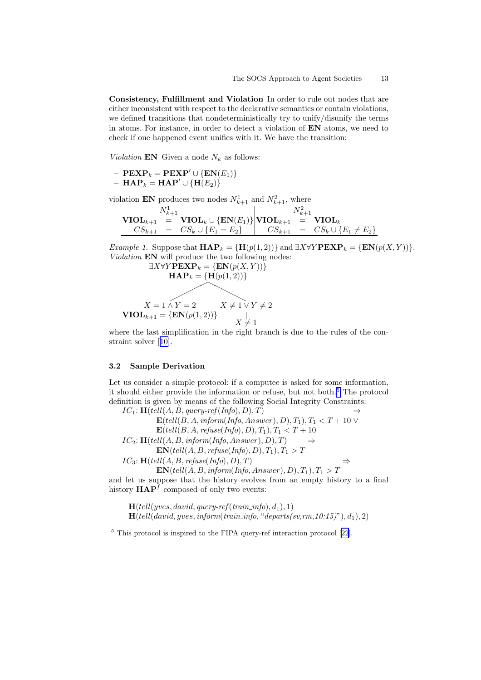Consistency, Fulfillment and Violation In order to rule out nodes that are either inconsistent with respect to the declarative semantics or contain violations, we defined transitions that nondeterministically try to unify/disunify the terms in atoms. For instance, in order to detect a violation of EN atoms, we need to check if one happened event unifies with it. We have the transition:

Violation **EN** Given a node  $N_k$  as follows:

 $-$  PEXP<sub>k</sub> = PEXP' ∪ {EN(E<sub>1</sub>)}  $-$  HAP<sub>k</sub> = HAP<sup>'</sup>  $\cup$  {H $(E_2)$ }

violation **EN** produces two nodes  $N_{k+1}^1$  and  $N_{k+1}^2$ , where

|                                 | $k+1$ |                                                                                         | $k+$ |  |                                         |  |
|---------------------------------|-------|-----------------------------------------------------------------------------------------|------|--|-----------------------------------------|--|
| $\widehat{\mathbf{VIOL}_{k+1}}$ |       | $=$ $\textbf{VIOL}_k \cup \{\textbf{EN}(E_1)\} \textbf{VIOL}_{k+1} = \text{VIOL}_{k+1}$ |      |  | $\mathbf{VIOL}_k$                       |  |
|                                 |       | $CS_{k+1} = CS_k \cup \{E_1 = E_2\}$                                                    |      |  | $CS_{k+1} = CS_k \cup \{E_1 \neq E_2\}$ |  |

Example 1. Suppose that  $\text{HAP}_k = {\text{H}(p(1, 2))}$  and  $\exists X \forall Y \text{PEXP}_k = {\text{EN}(p(X, Y))}.$ Violation EN will produce the two following nodes:

$$
\exists X \forall Y \mathbf{P} \mathbf{EXP}_k = \{ \mathbf{EN}(p(X, Y)) \}
$$

$$
\mathbf{HAP}_k = \{ \mathbf{H}(p(1, 2)) \}
$$

$$
X = 1 \land Y = 2 \qquad X \neq 1 \lor Y \neq 2
$$

$$
\mathbf{VIOL}_{k+1} = \{ \mathbf{EN}(p(1, 2)) \} \qquad \begin{array}{c} \mid \\ X \neq 1 \end{array}
$$

where the last simplification in the right branch is due to the rules of the constraint solver [[10\]](#page-23-0).

#### 3.2 Sample Derivation

Let us consider a simple protocol: if a computee is asked for some information, it should either provide the information or refuse, but not both.<sup>5</sup> The protocol definition is given by means of the following Social Integrity Constraints:

 $IC_1$ :  $\mathbf{H}(tell(A, B, query-ref(Info), D), T)$  $\mathbf{E}(tell(B, A, \text{inform}(Info, \text{Answer}), D), T_1), T_1 < T + 10 \vee$  $\mathbf{E}(\text{tell}(B, A, \text{refuse}(\text{Info}), D), T_1), T_1 < T + 10$  $IC_2$ :  $H(tell(A, B, inform(Info, Answer), D), T)$  $EN(tell(A, B, refuse(Info), D), T_1), T_1 > T$  $IC_3$ :  $\mathbf{H}(tell(A, B, refuse(Info), D), T)$  $EN(tell(A, B, inform(Info, Answer), D), T_1), T_1 > T$ 

and let us suppose that the history evolves from an empty history to a final history  $HAP<sup>f</sup>$  composed of only two events:

 $H(tell(yves, david, query-ref(train_info), d_1), 1)$  $H(tell(david, yves, inform(train_info, "departs(sw, rm, 10:15)"), d<sub>1</sub>), 2)$ 

 $\frac{5}{5}$  This protocol is inspired to the FIPA query-ref interaction protocol [\[22](#page-24-0)].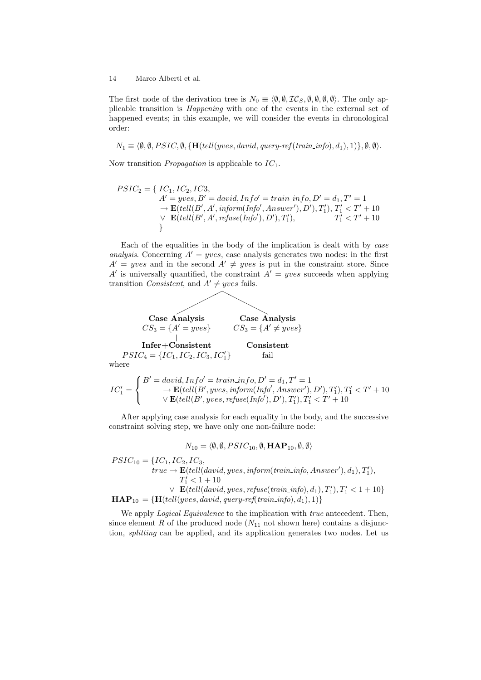The first node of the derivation tree is  $N_0 \equiv \langle \emptyset, \emptyset, \mathcal{IL}_S, \emptyset, \emptyset, \emptyset, \emptyset \rangle$ . The only applicable transition is Happening with one of the events in the external set of happened events; in this example, we will consider the events in chronological order:

 $N_1 \equiv \langle \emptyset, \emptyset, PSIC, \emptyset, \{ \mathbf{H}(tell(yves, david, query-ref(train_info), d_1), 1) \}, \emptyset, \emptyset \rangle.$ 

Now transition *Propagation* is applicable to  $IC_1$ .

$$
PSIC_2 = \{ IC_1, IC_2, IC3, \n A' = yves, B' = david, Info' = train_info, D' = d_1, T' = 1 \n \rightarrow E(tell(B', A', inform(Info', Answer'), D'), T'_1), T'_1 < T' + 10 \n \lor E(tell(B', A', refuse(Info'), D'), T'_1), T'_1 < T' + 10 \n \}
$$

Each of the equalities in the body of the implication is dealt with by case analysis. Concerning  $A' = yves$ , case analysis generates two nodes: in the first  $A' = yves$  and in the second  $A' \neq yves$  is put in the constraint store. Since A' is universally quantified, the constraint  $\overrightarrow{A}' = yves$  succeeds when applying transition Consistent, and  $A' \neq yves$  fails.



where

$$
IC'_1 = \left\{\begin{array}{l} B' = \mathit{david}, \mathit{Info'} = \mathit{train}.\mathit{info}, D' = d_1, T' = 1 \\ \quad \rightarrow \mathbf{E}(\mathit{tell}(B', \mathit{yves}, \mathit{inform}(\mathit{Info'}, \mathit{Answer'}), D'), T'_1), T'_1 < T' + 10 \\ \quad \vee \mathbf{E}(\mathit{tell}(B', \mathit{yves}, \mathit{refuse}(\mathit{Info'}), D'), T'_1), T'_1 < T' + 10 \end{array}\right.
$$

After applying case analysis for each equality in the body, and the successive constraint solving step, we have only one non-failure node:

$$
N_{10} = \langle \emptyset, \emptyset, PSIC_{10}, \emptyset, \mathbf{HAP}_{10}, \emptyset, \emptyset \rangle
$$

 $PSIC_{10} = \{IC_1, IC_2, IC_3,$  $true \rightarrow \mathbf{E} (tell (david, yves, inform (train_info, Answer'), d_1), T'_1),$  $T_1 \leq 1 + 10$  $\forall$  **E**(tell(david, yves, refuse(train\_info), d<sub>1</sub>),  $T_1'$ ),  $T_1' < 1 + 10$ }  $\mathbf{HAP}_{10} = \{ \mathbf{H}(tell(yves, david, query-ref(train_info), d_1), 1) \}$ 

We apply *Logical Equivalence* to the implication with *true* antecedent. Then, since element R of the produced node  $(N_{11}$  not shown here) contains a disjunction, splitting can be applied, and its application generates two nodes. Let us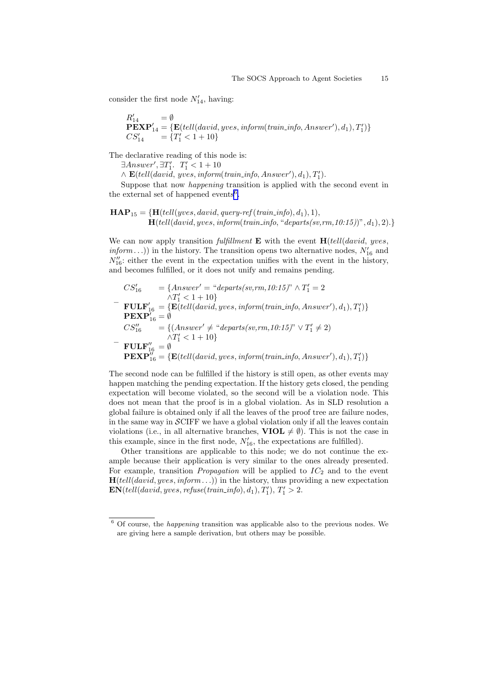<span id="page-14-0"></span>consider the first node  $N'_{14}$ , having:

$$
R'_{14} = \emptyset
$$
  

$$
PEXP'_{14} = \{E(tell(david, yves, inform(train_info, Answer'), d_1), T'_1)\}
$$
  

$$
CS'_{14} = \{T'_1 < 1 + 10\}
$$

The declarative reading of this node is:

 $\exists \text{Answer}, \exists T'_1. \ T'_1 < 1+10$ 

 $\land$   $\mathbf{E}(tell (david, yves, inform (train_info, Answer'), d_1), T'_1).$ 

Suppose that now happening transition is applied with the second event in the external set of happened events<sup>6</sup>.

$$
\mathbf{HAP}_{15} = \{ \mathbf{H}(tell(yves, david, query-ref(train_info), d_1), 1), \\ \mathbf{H}(tell(david, yves, inform(train_info, "departs(sw,rm, 10:15))", d_1), 2) . \}
$$

We can now apply transition fulfillment  $E$  with the event  $H(tell(david, yves,$  $\widehat{inform...}$ ) in the history. The transition opens two alternative nodes,  $N'_{16}$  and  $N''_{16}$ : either the event in the expectation unifies with the event in the history, and becomes fulfilled, or it does not unify and remains pending.

$$
CS'_{16} = \{Answer' = "departs(sw, rm, 10:15)" \land T'_1 = 2
$$
  
\n
$$
-\frac{\land T'_1 < 1 + 10\}}{\mathbf{FULF}'_{16} = \{\mathbf{E}(tell(david, yves, inform(train_info, Answer'), d_1), T'_1)\}}
$$
  
\n
$$
\begin{aligned}\n\mathbf{PEXP}'_{16} &= \emptyset \\
CS''_{16} &= \{(Answer' \neq "departs(sw, rm, 10:15)" \lor T'_1 \neq 2) \\
&\quad \land T'_1 < 1 + 10\} \\
\mathbf{FULF}''_{16} &= \emptyset \\
\mathbf{PEXP}'_{16} &= \{\mathbf{E}(tell(david, yves, inform(train_info, Answer'), d_1), T'_1)\}\n\end{aligned}
$$

The second node can be fulfilled if the history is still open, as other events may happen matching the pending expectation. If the history gets closed, the pending expectation will become violated, so the second will be a violation node. This does not mean that the proof is in a global violation. As in SLD resolution a global failure is obtained only if all the leaves of the proof tree are failure nodes, in the same way in  $\mathcal{S}$ CIFF we have a global violation only if all the leaves contain violations (i.e., in all alternative branches,  $\mathbf{VIDL} \neq \emptyset$ ). This is not the case in this example, since in the first node,  $N'_{16}$ , the expectations are fulfilled).

Other transitions are applicable to this node; we do not continue the example because their application is very similar to the ones already presented. For example, transition *Propagation* will be applied to  $IC_2$  and to the event  $H(tell(david, yves, inform...)$  in the history, thus providing a new expectation  $\mathbf{EN}(tell (david, yves, refuse(train_info), d_1), T'_1), T'_1 > 2.$ 

<sup>6</sup> Of course, the happening transition was applicable also to the previous nodes. We are giving here a sample derivation, but others may be possible.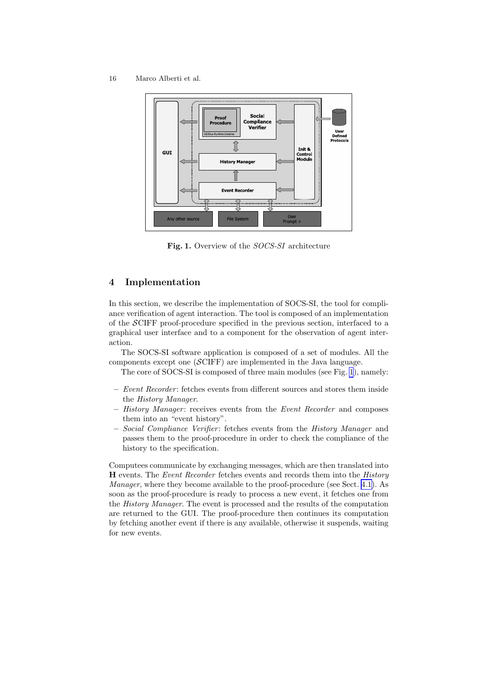

Fig. 1. Overview of the SOCS-SI architecture

# 4 Implementation

In this section, we describe the implementation of SOCS-SI, the tool for compliance verification of agent interaction. The tool is composed of an implementation of the SCIFF proof-procedure specified in the previous section, interfaced to a graphical user interface and to a component for the observation of agent interaction.

The SOCS-SI software application is composed of a set of modules. All the components except one (SCIFF) are implemented in the Java language.

The core of SOCS-SI is composed of three main modules (see Fig. 1), namely:

- Event Recorder : fetches events from different sources and stores them inside the History Manager.
- $-$  History Manager: receives events from the Event Recorder and composes them into an "event history".
- Social Compliance Verifier: fetches events from the History Manager and passes them to the proof-procedure in order to check the compliance of the history to the specification.

Computees communicate by exchanging messages, which are then translated into H events. The Event Recorder fetches events and records them into the History Manager, where they become available to the proof-procedure (see Sect. [4.1\)](#page-16-0). As soon as the proof-procedure is ready to process a new event, it fetches one from the History Manager. The event is processed and the results of the computation are returned to the GUI. The proof-procedure then continues its computation by fetching another event if there is any available, otherwise it suspends, waiting for new events.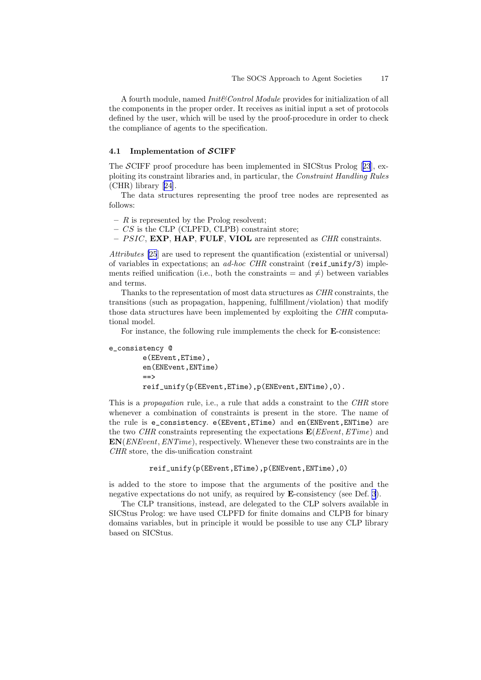<span id="page-16-0"></span>A fourth module, named *Init<sup>g</sup>Control Module* provides for initialization of all the components in the proper order. It receives as initial input a set of protocols defined by the user, which will be used by the proof-procedure in order to check the compliance of agents to the specification.

#### 4.1 Implementation of  $\mathcal{S}$ CIFF

The SCIFF proof procedure has been implemented in SICStus Prolog [[23](#page-24-0)], exploiting its constraint libraries and, in particular, the Constraint Handling Rules (CHR) library [\[24](#page-24-0)].

The data structures representing the proof tree nodes are represented as follows:

 $- R$  is represented by the Prolog resolvent;

 $- CS$  is the CLP (CLPFD, CLPB) constraint store;

 $-$  PSIC, EXP, HAP, FULF, VIOL are represented as CHR constraints.

Attributes [\[25](#page-24-0)] are used to represent the quantification (existential or universal) of variables in expectations; an ad-hoc CHR constraint (reif unify/3) implements reified unification (i.e., both the constraints  $=$  and  $\neq$ ) between variables and terms.

Thanks to the representation of most data structures as CHR constraints, the transitions (such as propagation, happening, fulfillment/violation) that modify those data structures have been implemented by exploiting the CHR computational model.

For instance, the following rule immplements the check for E-consistence:

```
e_consistency @
```

```
e(EEvent,ETime),
en(ENEvent,ENTime)
==>
reif_unify(p(EEvent,ETime),p(ENEvent,ENTime),0).
```
This is a *propagation* rule, i.e., a rule that adds a constraint to the *CHR* store whenever a combination of constraints is present in the store. The name of the rule is e\_consistency. e(EEvent,ETime) and en(ENEvent,ENTime) are the two CHR constraints representing the expectations  $\mathbf{E}(EEvent, ETime)$  and  $EN(ENEvent, ENTime)$ , respectively. Whenever these two constraints are in the CHR store, the dis-unification constraint

```
reif_unify(p(EEvent,ETime),p(ENEvent,ENTime),0)
```
is added to the store to impose that the arguments of the positive and the negative expectations do not unify, as required by E-consistency (see Def. [3](#page-8-0)).

The CLP transitions, instead, are delegated to the CLP solvers available in SICStus Prolog: we have used CLPFD for finite domains and CLPB for binary domains variables, but in principle it would be possible to use any CLP library based on SICStus.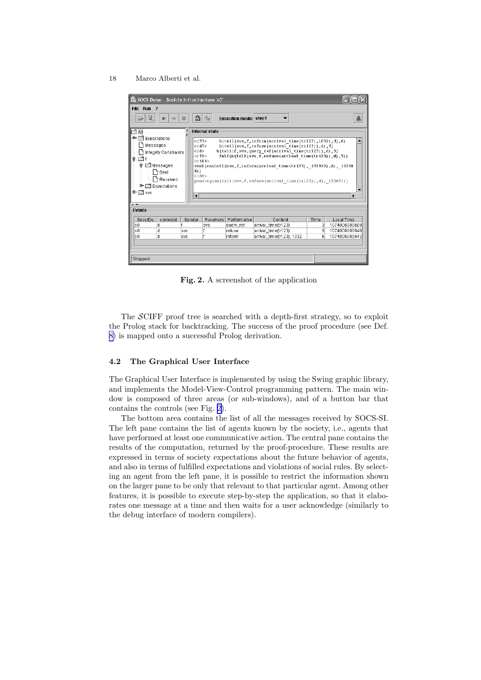<span id="page-17-0"></span>

| SOCS Demo - Society Infrastructure 'sO'                                               |                                                                                               |        |            |                       |                                                                                                                                                                                                                                                        |  |                |               |  |  |  |  |
|---------------------------------------------------------------------------------------|-----------------------------------------------------------------------------------------------|--------|------------|-----------------------|--------------------------------------------------------------------------------------------------------------------------------------------------------------------------------------------------------------------------------------------------------|--|----------------|---------------|--|--|--|--|
| File Run ?                                                                            |                                                                                               |        |            |                       |                                                                                                                                                                                                                                                        |  |                |               |  |  |  |  |
| 鳳                                                                                     |                                                                                               |        |            | Execution mode: step1 |                                                                                                                                                                                                                                                        |  |                |               |  |  |  |  |
| Internal state<br>™ All                                                               |                                                                                               |        |            |                       |                                                                                                                                                                                                                                                        |  |                |               |  |  |  |  |
| ⊙-<br>Expectations<br>$<$ c73><br>h(tell(svs,f,inform(arrival time(tr123),1032),d),6) |                                                                                               |        |            |                       |                                                                                                                                                                                                                                                        |  |                |               |  |  |  |  |
|                                                                                       | Messages<br>h(tell(svs,f,refuse(arrival time(tr123)),d),5)<br>$c47>$                          |        |            |                       |                                                                                                                                                                                                                                                        |  |                |               |  |  |  |  |
|                                                                                       | h(tell(f, svs, query ref(arrival time(tr123)), d), 3)<br>$<$ c8><br>Integrity Constraints     |        |            |                       |                                                                                                                                                                                                                                                        |  |                |               |  |  |  |  |
| o.                                                                                    | fulf(e(tell(svs,f,refuse(arrival time(tr123)),d),5))<br>$<$ c72>                              |        |            |                       |                                                                                                                                                                                                                                                        |  |                |               |  |  |  |  |
|                                                                                       | $<$ c103><br>⊕ ⊡ Messages<br>viol(en(tell(svs,f,inform(arrival time(tr123), 172922),d), 17270 |        |            |                       |                                                                                                                                                                                                                                                        |  |                |               |  |  |  |  |
|                                                                                       | $0)$ )<br>Sent                                                                                |        |            |                       |                                                                                                                                                                                                                                                        |  |                |               |  |  |  |  |
|                                                                                       | $<$ c86><br>Received                                                                          |        |            |                       |                                                                                                                                                                                                                                                        |  |                |               |  |  |  |  |
|                                                                                       | pending(en(tell(svs,f,refuse(arrival time(tr123)),d), 153681))<br>→ Expectations              |        |            |                       |                                                                                                                                                                                                                                                        |  |                |               |  |  |  |  |
| ⊕r∃svs                                                                                |                                                                                               |        |            |                       |                                                                                                                                                                                                                                                        |  |                |               |  |  |  |  |
|                                                                                       |                                                                                               | ۰      |            |                       |                                                                                                                                                                                                                                                        |  |                |               |  |  |  |  |
|                                                                                       |                                                                                               |        |            |                       | $\blacktriangle \blacktriangledown$ , and an experimental decomposition of the contract of the contract of the contract of the contract of the contract of the contract of the contract of the contract of the contract of the contract of the contrac |  |                |               |  |  |  |  |
| <b>Events</b>                                                                         |                                                                                               |        |            |                       |                                                                                                                                                                                                                                                        |  |                |               |  |  |  |  |
| SocsiDs                                                                               | contextId                                                                                     | Sender | Receivers  | Performative          | Content                                                                                                                                                                                                                                                |  | Time           | Local Time    |  |  |  |  |
| sO                                                                                    | d                                                                                             |        | <b>SVS</b> | query ref             | arrival time(tr123)                                                                                                                                                                                                                                    |  | $\overline{3}$ | 1074006080609 |  |  |  |  |
| sū                                                                                    | d                                                                                             | svs    |            | refuse                | arrival time(tr123)                                                                                                                                                                                                                                    |  | 51             | 1074006080640 |  |  |  |  |
| sū                                                                                    | d                                                                                             | svs    |            | inform                | arrival time(tr123), 1032                                                                                                                                                                                                                              |  | ß.             | 1074006080642 |  |  |  |  |
|                                                                                       |                                                                                               |        |            |                       |                                                                                                                                                                                                                                                        |  |                |               |  |  |  |  |
|                                                                                       |                                                                                               |        |            |                       |                                                                                                                                                                                                                                                        |  |                |               |  |  |  |  |
| Stopped                                                                               |                                                                                               |        |            |                       |                                                                                                                                                                                                                                                        |  |                |               |  |  |  |  |
|                                                                                       |                                                                                               |        |            |                       |                                                                                                                                                                                                                                                        |  |                |               |  |  |  |  |

Fig. 2. A screenshot of the application

The SCIFF proof tree is searched with a depth-first strategy, so to exploit the Prolog stack for backtracking. The success of the proof procedure (see Def. [8\)](#page-9-0) is mapped onto a successful Prolog derivation.

#### 4.2 The Graphical User Interface

The Graphical User Interface is implemented by using the Swing graphic library, and implements the Model-View-Control programming pattern. The main window is composed of three areas (or sub-windows), and of a button bar that contains the controls (see Fig. 2).

The bottom area contains the list of all the messages received by SOCS-SI. The left pane contains the list of agents known by the society, i.e., agents that have performed at least one communicative action. The central pane contains the results of the computation, returned by the proof-procedure. These results are expressed in terms of society expectations about the future behavior of agents, and also in terms of fulfilled expectations and violations of social rules. By selecting an agent from the left pane, it is possible to restrict the information shown on the larger pane to be only that relevant to that particular agent. Among other features, it is possible to execute step-by-step the application, so that it elaborates one message at a time and then waits for a user acknowledge (similarly to the debug interface of modern compilers).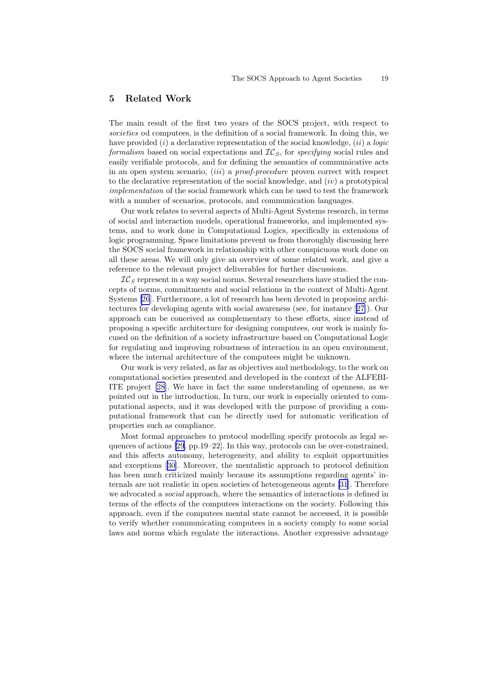## 5 Related Work

The main result of the first two years of the SOCS project, with respect to societies od computees, is the definition of a social framework. In doing this, we have provided (i) a declarative representation of the social knowledge,  $(ii)$  a logic formalism based on social expectations and  $TC_S$ , for specifying social rules and easily verifiable protocols, and for defining the semantics of communicative acts in an open system scenario, *(iii)* a *proof-procedure* proven correct with respect to the declarative representation of the social knowledge, and  $(iv)$  a prototypical implementation of the social framework which can be used to test the framework with a number of scenarios, protocols, and communication languages.

Our work relates to several aspects of Multi-Agent Systems research, in terms of social and interaction models, operational frameworks, and implemented systems, and to work done in Computational Logics, specifically in extensions of logic programming. Space limitations prevent us from thoroughly discussing here the SOCS social framework in relationship with other conspicuous work done on all these areas. We will only give an overview of some related work, and give a reference to the relevant project deliverables for further discussions.

 $IC<sub>S</sub>$  represent in a way social norms. Several researchers have studied the concepts of norms, commitments and social relations in the context of Multi-Agent Systems [\[26](#page-24-0)]. Furthermore, a lot of research has been devoted in proposing architectures for developing agents with social awareness (see, for instance [[27\]](#page-24-0)). Our approach can be conceived as complementary to these efforts, since instead of proposing a specific architecture for designing computees, our work is mainly focused on the definition of a society infrastructure based on Computational Logic for regulating and improving robustness of interaction in an open environment, where the internal architecture of the computees might be unknown.

Our work is very related, as far as objectives and methodology, to the work on computational societies presented and developed in the context of the ALFEBI-ITE project [\[28](#page-24-0)]. We have in fact the same understanding of openness, as we pointed out in the introduction. In turn, our work is especially oriented to computational aspects, and it was developed with the purpose of providing a computational framework that can be directly used for automatic verification of properties such as compliance.

Most formal approaches to protocol modelling specify protocols as legal sequences of actions [\[29](#page-24-0), pp.19–22]. In this way, protocols can be over-constrained, and this affects autonomy, heterogeneity, and ability to exploit opportunities and exceptions [[30\]](#page-24-0). Moreover, the mentalistic approach to protocol definition has been much criticized mainly because its assumptions regarding agents' internals are not realistic in open societies of heterogeneous agents [\[31](#page-24-0)]. Therefore we advocated a *social* approach, where the semantics of interactions is defined in terms of the effects of the computees interactions on the society. Following this approach, even if the computees mental state cannot be accessed, it is possible to verify whether communicating computees in a society comply to some social laws and norms which regulate the interactions. Another expressive advantage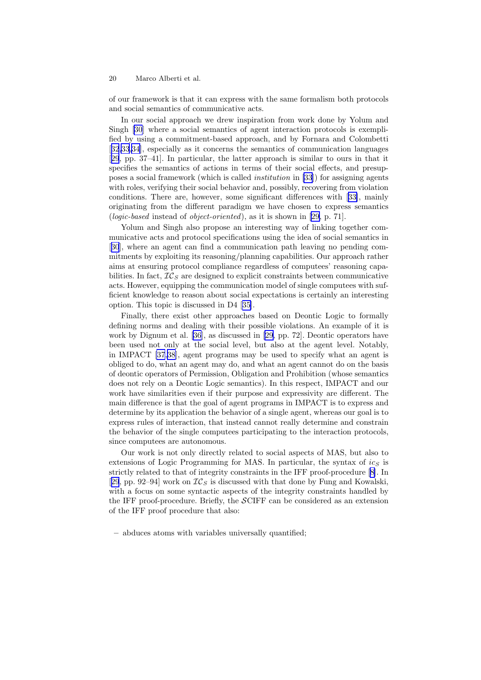of our framework is that it can express with the same formalism both protocols and social semantics of communicative acts.

In our social approach we drew inspiration from work done by Yolum and Singh [\[30](#page-24-0)] where a social semantics of agent interaction protocols is exemplified by using a commitment-based approach, and by Fornara and Colombetti [[32,33,34\]](#page-24-0), especially as it concerns the semantics of communication languages [[29](#page-24-0), pp. 37–41]. In particular, the latter approach is similar to ours in that it specifies the semantics of actions in terms of their social effects, and presupposes a social framework (which is called institution in [\[33](#page-24-0)]) for assigning agents with roles, verifying their social behavior and, possibly, recovering from violation conditions. There are, however, some significant differences with [[33\]](#page-24-0), mainly originating from the different paradigm we have chosen to express semantics (logic-based instead of object-oriented), as it is shown in [\[29](#page-24-0), p. 71].

Yolum and Singh also propose an interesting way of linking together communicative acts and protocol specifications using the idea of social semantics in [[30](#page-24-0)], where an agent can find a communication path leaving no pending commitments by exploiting its reasoning/planning capabilities. Our approach rather aims at ensuring protocol compliance regardless of computees' reasoning capabilities. In fact,  $IC_S$  are designed to explicit constraints between communicative acts. However, equipping the communication model of single computees with sufficient knowledge to reason about social expectations is certainly an interesting option. This topic is discussed in D4 [[35\]](#page-24-0).

Finally, there exist other approaches based on Deontic Logic to formally defining norms and dealing with their possible violations. An example of it is work by Dignum et al. [\[36](#page-25-0)], as discussed in [\[29,](#page-24-0) pp. 72]. Deontic operators have been used not only at the social level, but also at the agent level. Notably, in IMPACT [\[37,38](#page-25-0)], agent programs may be used to specify what an agent is obliged to do, what an agent may do, and what an agent cannot do on the basis of deontic operators of Permission, Obligation and Prohibition (whose semantics does not rely on a Deontic Logic semantics). In this respect, IMPACT and our work have similarities even if their purpose and expressivity are different. The main difference is that the goal of agent programs in IMPACT is to express and determine by its application the behavior of a single agent, whereas our goal is to express rules of interaction, that instead cannot really determine and constrain the behavior of the single computees participating to the interaction protocols, since computees are autonomous.

Our work is not only directly related to social aspects of MAS, but also to extensions of Logic Programming for MAS. In particular, the syntax of  $ic<sub>S</sub>$  is strictly related to that of integrity constraints in the IFF proof-procedure [[8\]](#page-23-0). In [[29](#page-24-0), pp. 92–94] work on  $TC_S$  is discussed with that done by Fung and Kowalski, with a focus on some syntactic aspects of the integrity constraints handled by the IFF proof-procedure. Briefly, the  $\mathcal{S}$ CIFF can be considered as an extension of the IFF proof procedure that also:

<sup>–</sup> abduces atoms with variables universally quantified;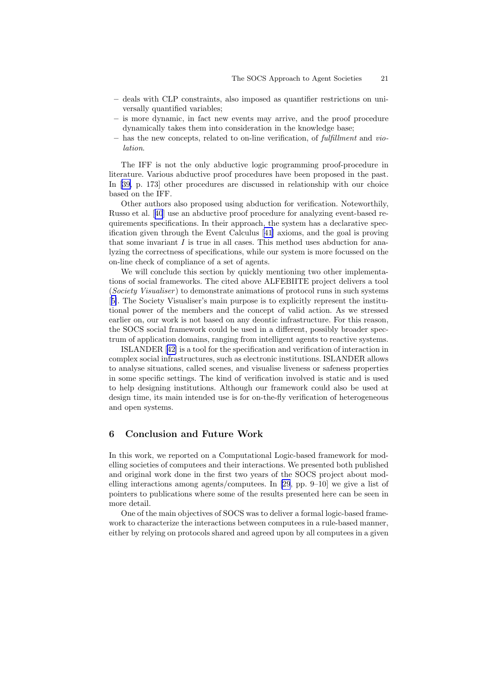- <span id="page-20-0"></span>– deals with CLP constraints, also imposed as quantifier restrictions on universally quantified variables;
- is more dynamic, in fact new events may arrive, and the proof procedure dynamically takes them into consideration in the knowledge base;
- $-$  has the new concepts, related to on-line verification, of *fulfillment* and *vio*lation.

The IFF is not the only abductive logic programming proof-procedure in literature. Various abductive proof procedures have been proposed in the past. In [\[39](#page-25-0), p. 173] other procedures are discussed in relationship with our choice based on the IFF.

Other authors also proposed using abduction for verification. Noteworthily, Russo et al. [[40](#page-25-0)] use an abductive proof procedure for analyzing event-based requirements specifications. In their approach, the system has a declarative specification given through the Event Calculus [[41\]](#page-25-0) axioms, and the goal is proving that some invariant  $I$  is true in all cases. This method uses abduction for analyzing the correctness of specifications, while our system is more focussed on the on-line check of compliance of a set of agents.

We will conclude this section by quickly mentioning two other implementations of social frameworks. The cited above ALFEBIITE project delivers a tool  $(Society Visualiser)$  to demonstrate animations of protocol runs in such systems [[5\]](#page-22-0). The Society Visualiser's main purpose is to explicitly represent the institutional power of the members and the concept of valid action. As we stressed earlier on, our work is not based on any deontic infrastructure. For this reason, the SOCS social framework could be used in a different, possibly broader spectrum of application domains, ranging from intelligent agents to reactive systems.

ISLANDER [[42\]](#page-25-0) is a tool for the specification and verification of interaction in complex social infrastructures, such as electronic institutions. ISLANDER allows to analyse situations, called scenes, and visualise liveness or safeness properties in some specific settings. The kind of verification involved is static and is used to help designing institutions. Although our framework could also be used at design time, its main intended use is for on-the-fly verification of heterogeneous and open systems.

## 6 Conclusion and Future Work

In this work, we reported on a Computational Logic-based framework for modelling societies of computees and their interactions. We presented both published and original work done in the first two years of the SOCS project about modelling interactions among agents/computees. In [\[29](#page-24-0), pp. 9–10] we give a list of pointers to publications where some of the results presented here can be seen in more detail.

One of the main objectives of SOCS was to deliver a formal logic-based framework to characterize the interactions between computees in a rule-based manner, either by relying on protocols shared and agreed upon by all computees in a given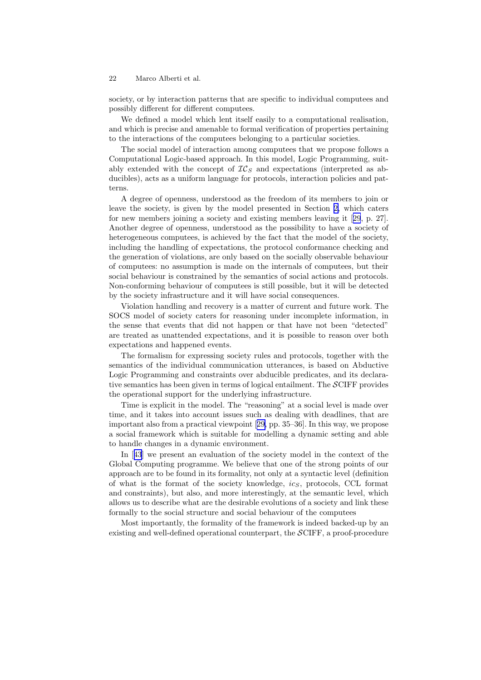society, or by interaction patterns that are specific to individual computees and possibly different for different computees.

We defined a model which lent itself easily to a computational realisation, and which is precise and amenable to formal verification of properties pertaining to the interactions of the computees belonging to a particular societies.

The social model of interaction among computees that we propose follows a Computational Logic-based approach. In this model, Logic Programming, suitably extended with the concept of  $IC<sub>S</sub>$  and expectations (interpreted as abducibles), acts as a uniform language for protocols, interaction policies and patterns.

A degree of openness, understood as the freedom of its members to join or leave the society, is given by the model presented in Section [2,](#page-2-0) which caters for new members joining a society and existing members leaving it [[29](#page-24-0), p. 27]. Another degree of openness, understood as the possibility to have a society of heterogeneous computees, is achieved by the fact that the model of the society, including the handling of expectations, the protocol conformance checking and the generation of violations, are only based on the socially observable behaviour of computees: no assumption is made on the internals of computees, but their social behaviour is constrained by the semantics of social actions and protocols. Non-conforming behaviour of computees is still possible, but it will be detected by the society infrastructure and it will have social consequences.

Violation handling and recovery is a matter of current and future work. The SOCS model of society caters for reasoning under incomplete information, in the sense that events that did not happen or that have not been "detected" are treated as unattended expectations, and it is possible to reason over both expectations and happened events.

The formalism for expressing society rules and protocols, together with the semantics of the individual communication utterances, is based on Abductive Logic Programming and constraints over abducible predicates, and its declarative semantics has been given in terms of logical entailment. The  $\mathcal{SCIFF}$  provides the operational support for the underlying infrastructure.

Time is explicit in the model. The "reasoning" at a social level is made over time, and it takes into account issues such as dealing with deadlines, that are important also from a practical viewpoint [[29,](#page-24-0) pp. 35–36]. In this way, we propose a social framework which is suitable for modelling a dynamic setting and able to handle changes in a dynamic environment.

In [[43](#page-25-0)] we present an evaluation of the society model in the context of the Global Computing programme. We believe that one of the strong points of our approach are to be found in its formality, not only at a syntactic level (definition of what is the format of the society knowledge,  $ic<sub>S</sub>$ , protocols, CCL format and constraints), but also, and more interestingly, at the semantic level, which allows us to describe what are the desirable evolutions of a society and link these formally to the social structure and social behaviour of the computees

Most importantly, the formality of the framework is indeed backed-up by an existing and well-defined operational counterpart, the SCIFF, a proof-procedure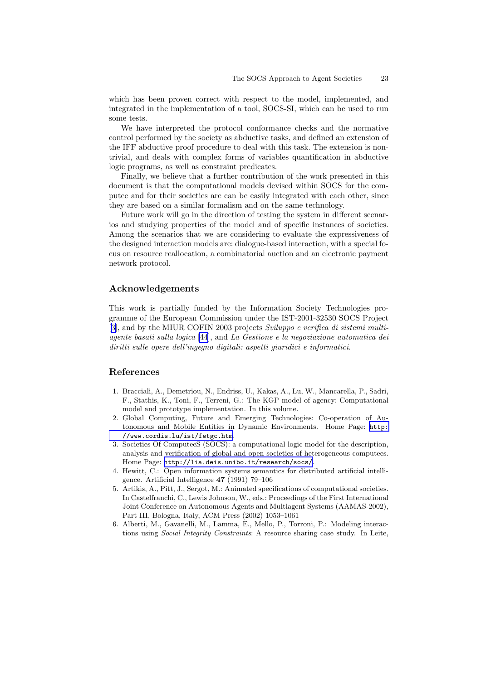<span id="page-22-0"></span>which has been proven correct with respect to the model, implemented, and integrated in the implementation of a tool, SOCS-SI, which can be used to run some tests.

We have interpreted the protocol conformance checks and the normative control performed by the society as abductive tasks, and defined an extension of the IFF abductive proof procedure to deal with this task. The extension is nontrivial, and deals with complex forms of variables quantification in abductive logic programs, as well as constraint predicates.

Finally, we believe that a further contribution of the work presented in this document is that the computational models devised within SOCS for the computee and for their societies are can be easily integrated with each other, since they are based on a similar formalism and on the same technology.

Future work will go in the direction of testing the system in different scenarios and studying properties of the model and of specific instances of societies. Among the scenarios that we are considering to evaluate the expressiveness of the designed interaction models are: dialogue-based interaction, with a special focus on resource reallocation, a combinatorial auction and an electronic payment network protocol.

### Acknowledgements

This work is partially funded by the Information Society Technologies programme of the European Commission under the IST-2001-32530 SOCS Project [3], and by the MIUR COFIN 2003 projects Sviluppo e verifica di sistemi multiagente basati sulla logica [\[44](#page-25-0)], and La Gestione e la negoziazione automatica dei diritti sulle opere dell'ingegno digitali: aspetti giuridici e informatici.

#### References

- 1. Bracciali, A., Demetriou, N., Endriss, U., Kakas, A., Lu, W., Mancarella, P., Sadri, F., Stathis, K., Toni, F., Terreni, G.: The KGP model of agency: Computational model and prototype implementation. In this volume.
- 2. Global Computing, Future and Emerging Technologies: Co-operation of Autonomous and Mobile Entities in Dynamic Environments. Home Page: [http:](http://www.cordis.lu/ist/fetgc.htm) [//www.cordis.lu/ist/fetgc.htm](http://www.cordis.lu/ist/fetgc.htm).
- 3. Societies Of ComputeeS (SOCS): a computational logic model for the description, analysis and verification of global and open societies of heterogeneous computees. Home Page: <http://lia.deis.unibo.it/research/socs/>.
- 4. Hewitt, C.: Open information systems semantics for distributed artificial intelligence. Artificial Intelligence 47 (1991) 79–106
- 5. Artikis, A., Pitt, J., Sergot, M.: Animated specifications of computational societies. In Castelfranchi, C., Lewis Johnson, W., eds.: Proceedings of the First International Joint Conference on Autonomous Agents and Multiagent Systems (AAMAS-2002), Part III, Bologna, Italy, ACM Press (2002) 1053–1061
- 6. Alberti, M., Gavanelli, M., Lamma, E., Mello, P., Torroni, P.: Modeling interactions using Social Integrity Constraints: A resource sharing case study. In Leite,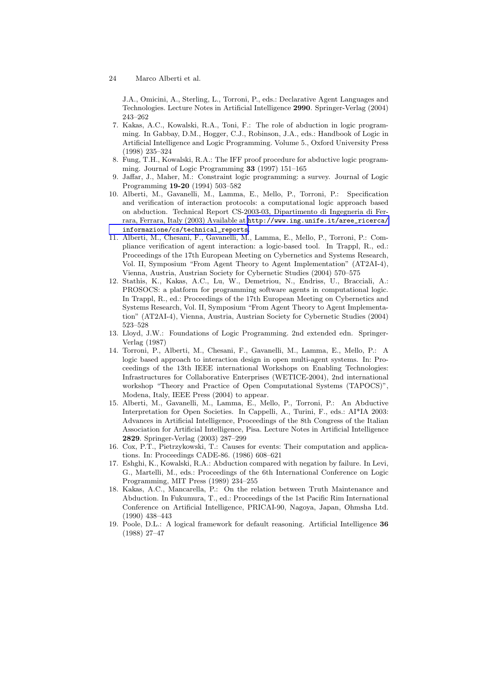J.A., Omicini, A., Sterling, L., Torroni, P., eds.: Declarative Agent Languages and Technologies. Lecture Notes in Artificial Intelligence 2990. Springer-Verlag (2004) 243–262

- 7. Kakas, A.C., Kowalski, R.A., Toni, F.: The role of abduction in logic programming. In Gabbay, D.M., Hogger, C.J., Robinson, J.A., eds.: Handbook of Logic in Artificial Intelligence and Logic Programming. Volume 5., Oxford University Press (1998) 235–324
- 8. Fung, T.H., Kowalski, R.A.: The IFF proof procedure for abductive logic programming. Journal of Logic Programming 33 (1997) 151–165
- 9. Jaffar, J., Maher, M.: Constraint logic programming: a survey. Journal of Logic Programming 19-20 (1994) 503–582
- 10. Alberti, M., Gavanelli, M., Lamma, E., Mello, P., Torroni, P.: Specification and verification of interaction protocols: a computational logic approach based on abduction. Technical Report CS-2003-03, Dipartimento di Ingegneria di Ferrara, Ferrara, Italy (2003) Available at [http://www.ing.unife.it/aree\\_ricerca/](http://www.ing.unife.it/aree_ricerca/informazione/cs/technical_reports) [informazione/cs/technical\\_reports](http://www.ing.unife.it/aree_ricerca/informazione/cs/technical_reports).
- 11. Alberti, M., Chesani, F., Gavanelli, M., Lamma, E., Mello, P., Torroni, P.: Compliance verification of agent interaction: a logic-based tool. In Trappl, R., ed.: Proceedings of the 17th European Meeting on Cybernetics and Systems Research, Vol. II, Symposium "From Agent Theory to Agent Implementation" (AT2AI-4), Vienna, Austria, Austrian Society for Cybernetic Studies (2004) 570–575
- 12. Stathis, K., Kakas, A.C., Lu, W., Demetriou, N., Endriss, U., Bracciali, A.: PROSOCS: a platform for programming software agents in computational logic. In Trappl, R., ed.: Proceedings of the 17th European Meeting on Cybernetics and Systems Research, Vol. II, Symposium "From Agent Theory to Agent Implementation" (AT2AI-4), Vienna, Austria, Austrian Society for Cybernetic Studies (2004) 523–528
- 13. Lloyd, J.W.: Foundations of Logic Programming. 2nd extended edn. Springer-Verlag (1987)
- 14. Torroni, P., Alberti, M., Chesani, F., Gavanelli, M., Lamma, E., Mello, P.: A logic based approach to interaction design in open multi-agent systems. In: Proceedings of the 13th IEEE international Workshops on Enabling Technologies: Infrastructures for Collaborative Enterprises (WETICE-2004), 2nd international workshop "Theory and Practice of Open Computational Systems (TAPOCS)", Modena, Italy, IEEE Press (2004) to appear.
- 15. Alberti, M., Gavanelli, M., Lamma, E., Mello, P., Torroni, P.: An Abductive Interpretation for Open Societies. In Cappelli, A., Turini, F., eds.: AI\*IA 2003: Advances in Artificial Intelligence, Proceedings of the 8th Congress of the Italian Association for Artificial Intelligence, Pisa. Lecture Notes in Artificial Intelligence 2829. Springer-Verlag (2003) 287–299
- 16. Cox, P.T., Pietrzykowski, T.: Causes for events: Their computation and applications. In: Proceedings CADE-86. (1986) 608–621
- 17. Eshghi, K., Kowalski, R.A.: Abduction compared with negation by failure. In Levi, G., Martelli, M., eds.: Proceedings of the 6th International Conference on Logic Programming, MIT Press (1989) 234–255
- 18. Kakas, A.C., Mancarella, P.: On the relation between Truth Maintenance and Abduction. In Fukumura, T., ed.: Proceedings of the 1st Pacific Rim International Conference on Artificial Intelligence, PRICAI-90, Nagoya, Japan, Ohmsha Ltd. (1990) 438–443
- 19. Poole, D.L.: A logical framework for default reasoning. Artificial Intelligence 36 (1988) 27–47

<span id="page-23-0"></span><sup>24</sup> Marco Alberti et al.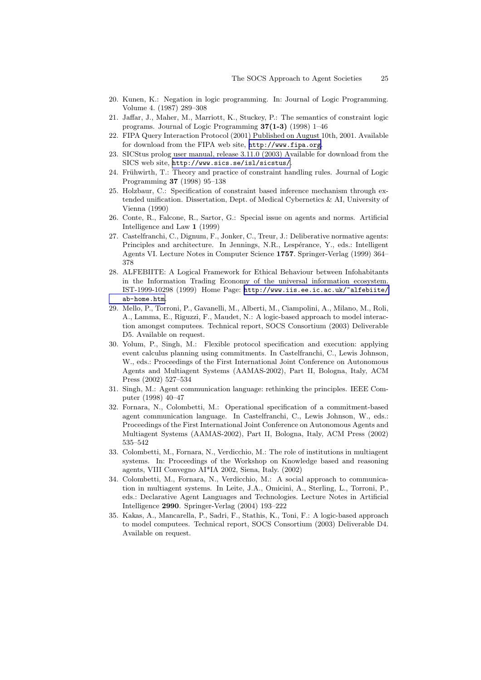- <span id="page-24-0"></span>20. Kunen, K.: Negation in logic programming. In: Journal of Logic Programming. Volume 4. (1987) 289–308
- 21. Jaffar, J., Maher, M., Marriott, K., Stuckey, P.: The semantics of constraint logic programs. Journal of Logic Programming 37(1-3) (1998) 1–46
- 22. FIPA Query Interaction Protocol (2001) Published on August 10th, 2001. Available for download from the FIPA web site, <http://www.fipa.org>.
- 23. SICStus prolog user manual, release 3.11.0 (2003) Available for download from the SICS web site, <http://www.sics.se/isl/sicstus/>.
- 24. Frühwirth, T.: Theory and practice of constraint handling rules. Journal of Logic Programming 37 (1998) 95–138
- 25. Holzbaur, C.: Specification of constraint based inference mechanism through extended unification. Dissertation, Dept. of Medical Cybernetics & AI, University of Vienna (1990)
- 26. Conte, R., Falcone, R., Sartor, G.: Special issue on agents and norms. Artificial Intelligence and Law 1 (1999)
- 27. Castelfranchi, C., Dignum, F., Jonker, C., Treur, J.: Deliberative normative agents: Principles and architecture. In Jennings, N.R., Lespérance, Y., eds.: Intelligent Agents VI. Lecture Notes in Computer Science 1757. Springer-Verlag (1999) 364– 378
- 28. ALFEBIITE: A Logical Framework for Ethical Behaviour between Infohabitants in the Information Trading Economy of the universal information ecosystem. IST-1999-10298 (1999) Home Page: [http://www.iis.ee.ic.ac.uk/~alfebiite/](http://www.iis.ee.ic.ac.uk/~alfebiite/ab-home.htm) [ab-home.htm](http://www.iis.ee.ic.ac.uk/~alfebiite/ab-home.htm).
- 29. Mello, P., Torroni, P., Gavanelli, M., Alberti, M., Ciampolini, A., Milano, M., Roli, A., Lamma, E., Riguzzi, F., Maudet, N.: A logic-based approach to model interaction amongst computees. Technical report, SOCS Consortium (2003) Deliverable D5. Available on request.
- 30. Yolum, P., Singh, M.: Flexible protocol specification and execution: applying event calculus planning using commitments. In Castelfranchi, C., Lewis Johnson, W., eds.: Proceedings of the First International Joint Conference on Autonomous Agents and Multiagent Systems (AAMAS-2002), Part II, Bologna, Italy, ACM Press (2002) 527–534
- 31. Singh, M.: Agent communication language: rethinking the principles. IEEE Computer (1998) 40–47
- 32. Fornara, N., Colombetti, M.: Operational specification of a commitment-based agent communication language. In Castelfranchi, C., Lewis Johnson, W., eds.: Proceedings of the First International Joint Conference on Autonomous Agents and Multiagent Systems (AAMAS-2002), Part II, Bologna, Italy, ACM Press (2002) 535–542
- 33. Colombetti, M., Fornara, N., Verdicchio, M.: The role of institutions in multiagent systems. In: Proceedings of the Workshop on Knowledge based and reasoning agents, VIII Convegno AI\*IA 2002, Siena, Italy. (2002)
- 34. Colombetti, M., Fornara, N., Verdicchio, M.: A social approach to communication in multiagent systems. In Leite, J.A., Omicini, A., Sterling, L., Torroni, P., eds.: Declarative Agent Languages and Technologies. Lecture Notes in Artificial Intelligence 2990. Springer-Verlag (2004) 193–222
- 35. Kakas, A., Mancarella, P., Sadri, F., Stathis, K., Toni, F.: A logic-based approach to model computees. Technical report, SOCS Consortium (2003) Deliverable D4. Available on request.